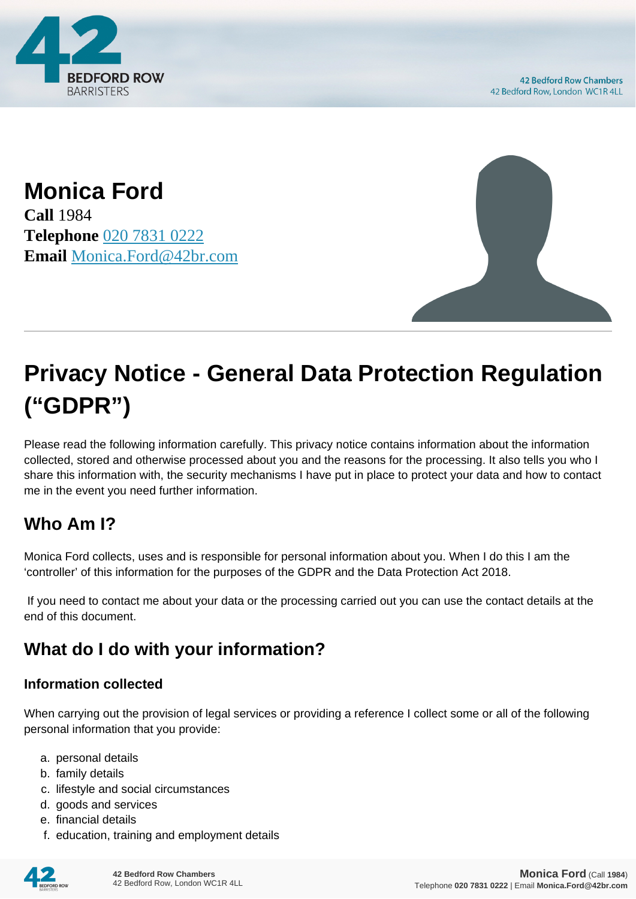

**Monica Ford Call** 1984 **Telephone** [020 7831 0222](https://pdf.codeshore.co/_42br/tel:020 7831 0222) **Email** [Monica.Ford@42br.com](mailto:Monica.Ford@42br.com)



# **Privacy Notice - General Data Protection Regulation ("GDPR")**

Please read the following information carefully. This privacy notice contains information about the information collected, stored and otherwise processed about you and the reasons for the processing. It also tells you who I share this information with, the security mechanisms I have put in place to protect your data and how to contact me in the event you need further information.

# **Who Am I?**

Monica Ford collects, uses and is responsible for personal information about you. When I do this I am the 'controller' of this information for the purposes of the GDPR and the Data Protection Act 2018.

 If you need to contact me about your data or the processing carried out you can use the contact details at the end of this document.

# **What do I do with your information?**

#### **Information collected**

When carrying out the provision of legal services or providing a reference I collect some or all of the following personal information that you provide:

- a. personal details
- b. family details
- c. lifestyle and social circumstances
- d. goods and services
- e. financial details
- f. education, training and employment details

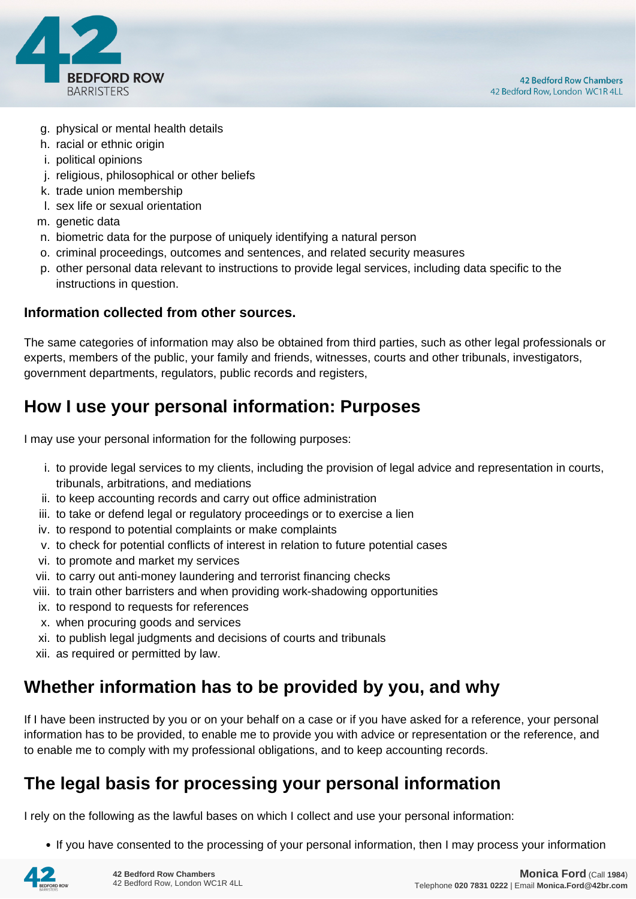

- g. physical or mental health details
- h. racial or ethnic origin
- i. political opinions
- j. religious, philosophical or other beliefs
- k. trade union membership
- l. sex life or sexual orientation
- m. genetic data
- n. biometric data for the purpose of uniquely identifying a natural person
- o. criminal proceedings, outcomes and sentences, and related security measures
- p. other personal data relevant to instructions to provide legal services, including data specific to the instructions in question.

#### **Information collected from other sources.**

The same categories of information may also be obtained from third parties, such as other legal professionals or experts, members of the public, your family and friends, witnesses, courts and other tribunals, investigators, government departments, regulators, public records and registers,

### **How I use your personal information: Purposes**

I may use your personal information for the following purposes:

- i. to provide legal services to my clients, including the provision of legal advice and representation in courts, tribunals, arbitrations, and mediations
- ii. to keep accounting records and carry out office administration
- iii. to take or defend legal or regulatory proceedings or to exercise a lien
- iv. to respond to potential complaints or make complaints
- v. to check for potential conflicts of interest in relation to future potential cases
- vi. to promote and market my services
- vii. to carry out anti-money laundering and terrorist financing checks
- viii. to train other barristers and when providing work-shadowing opportunities
- ix. to respond to requests for references
- x. when procuring goods and services
- xi. to publish legal judgments and decisions of courts and tribunals
- xii. as required or permitted by law.

### **Whether information has to be provided by you, and why**

If I have been instructed by you or on your behalf on a case or if you have asked for a reference, your personal information has to be provided, to enable me to provide you with advice or representation or the reference, and to enable me to comply with my professional obligations, and to keep accounting records.

### **The legal basis for processing your personal information**

I rely on the following as the lawful bases on which I collect and use your personal information:

• If you have consented to the processing of your personal information, then I may process your information

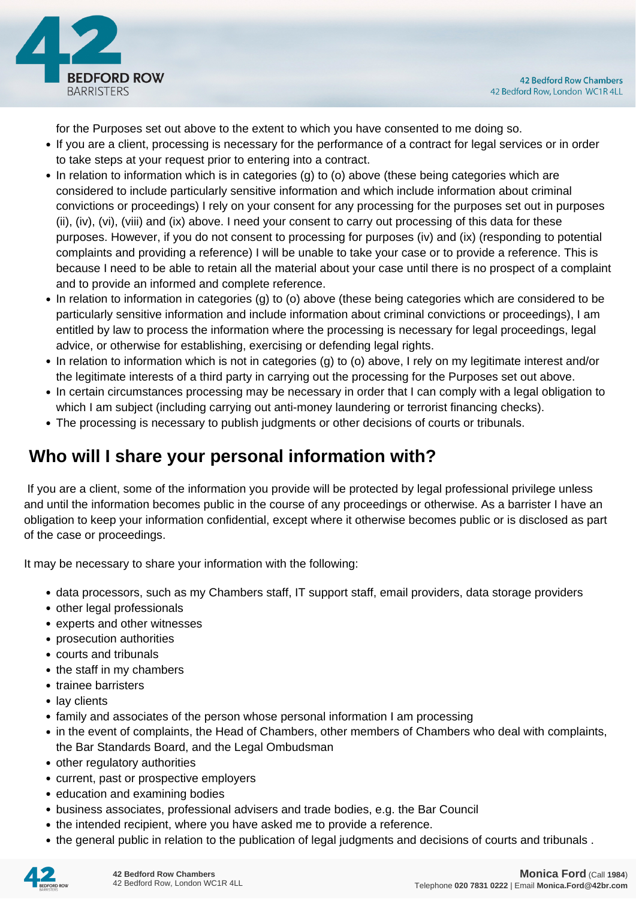

for the Purposes set out above to the extent to which you have consented to me doing so.

- If you are a client, processing is necessary for the performance of a contract for legal services or in order to take steps at your request prior to entering into a contract.
- In relation to information which is in categories (g) to (o) above (these being categories which are considered to include particularly sensitive information and which include information about criminal convictions or proceedings) I rely on your consent for any processing for the purposes set out in purposes (ii), (iv), (vi), (viii) and (ix) above. I need your consent to carry out processing of this data for these purposes. However, if you do not consent to processing for purposes (iv) and (ix) (responding to potential complaints and providing a reference) I will be unable to take your case or to provide a reference. This is because I need to be able to retain all the material about your case until there is no prospect of a complaint and to provide an informed and complete reference.
- In relation to information in categories (g) to (o) above (these being categories which are considered to be particularly sensitive information and include information about criminal convictions or proceedings), I am entitled by law to process the information where the processing is necessary for legal proceedings, legal advice, or otherwise for establishing, exercising or defending legal rights.
- In relation to information which is not in categories (g) to (o) above, I rely on my legitimate interest and/or the legitimate interests of a third party in carrying out the processing for the Purposes set out above.
- In certain circumstances processing may be necessary in order that I can comply with a legal obligation to which I am subject (including carrying out anti-money laundering or terrorist financing checks).
- The processing is necessary to publish judgments or other decisions of courts or tribunals.

# **Who will I share your personal information with?**

 If you are a client, some of the information you provide will be protected by legal professional privilege unless and until the information becomes public in the course of any proceedings or otherwise. As a barrister I have an obligation to keep your information confidential, except where it otherwise becomes public or is disclosed as part of the case or proceedings.

It may be necessary to share your information with the following:

- data processors, such as my Chambers staff, IT support staff, email providers, data storage providers
- other legal professionals
- experts and other witnesses
- prosecution authorities
- courts and tribunals
- the staff in my chambers
- trainee barristers
- lay clients
- family and associates of the person whose personal information I am processing
- in the event of complaints, the Head of Chambers, other members of Chambers who deal with complaints, the Bar Standards Board, and the Legal Ombudsman
- other regulatory authorities
- current, past or prospective employers
- education and examining bodies
- business associates, professional advisers and trade bodies, e.g. the Bar Council
- the intended recipient, where you have asked me to provide a reference.
- the general public in relation to the publication of legal judgments and decisions of courts and tribunals .

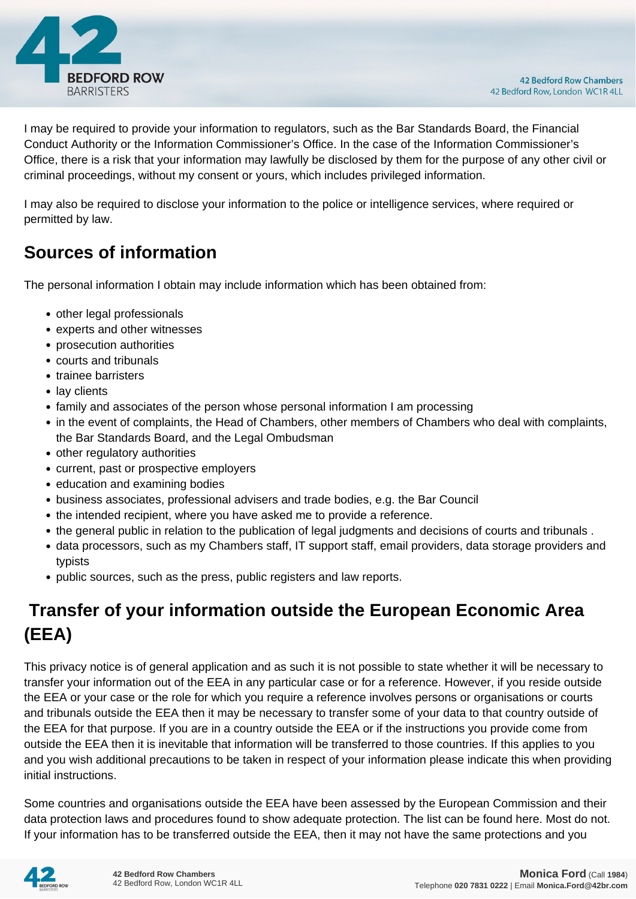

I may be required to provide your information to regulators, such as the Bar Standards Board, the Financial Conduct Authority or the Information Commissioner's Office. In the case of the Information Commissioner's Office, there is a risk that your information may lawfully be disclosed by them for the purpose of any other civil or criminal proceedings, without my consent or yours, which includes privileged information.

I may also be required to disclose your information to the police or intelligence services, where required or permitted by law.

# **Sources of information**

The personal information I obtain may include information which has been obtained from:

- other legal professionals
- experts and other witnesses
- prosecution authorities
- courts and tribunals
- trainee barristers
- lay clients
- family and associates of the person whose personal information I am processing
- in the event of complaints, the Head of Chambers, other members of Chambers who deal with complaints, the Bar Standards Board, and the Legal Ombudsman
- other regulatory authorities
- current, past or prospective employers
- education and examining bodies
- business associates, professional advisers and trade bodies, e.g. the Bar Council
- the intended recipient, where you have asked me to provide a reference.
- the general public in relation to the publication of legal judgments and decisions of courts and tribunals .
- data processors, such as my Chambers staff, IT support staff, email providers, data storage providers and typists
- public sources, such as the press, public registers and law reports.

# **Transfer of your information outside the European Economic Area (EEA)**

This privacy notice is of general application and as such it is not possible to state whether it will be necessary to transfer your information out of the EEA in any particular case or for a reference. However, if you reside outside the EEA or your case or the role for which you require a reference involves persons or organisations or courts and tribunals outside the EEA then it may be necessary to transfer some of your data to that country outside of the EEA for that purpose. If you are in a country outside the EEA or if the instructions you provide come from outside the EEA then it is inevitable that information will be transferred to those countries. If this applies to you and you wish additional precautions to be taken in respect of your information please indicate this when providing initial instructions.

Some countries and organisations outside the EEA have been assessed by the European Commission and their data protection laws and procedures found to show adequate protection. The list can be found here. Most do not. If your information has to be transferred outside the EEA, then it may not have the same protections and you

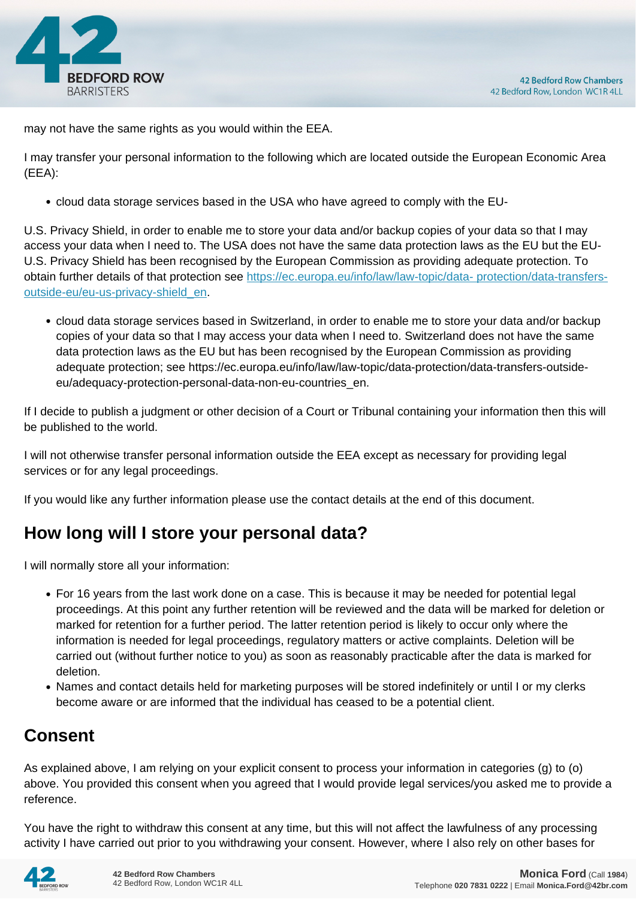

may not have the same rights as you would within the EEA.

I may transfer your personal information to the following which are located outside the European Economic Area (EEA):

cloud data storage services based in the USA who have agreed to comply with the EU-

U.S. Privacy Shield, in order to enable me to store your data and/or backup copies of your data so that I may access your data when I need to. The USA does not have the same data protection laws as the EU but the EU-U.S. Privacy Shield has been recognised by the European Commission as providing adequate protection. To obtain further details of that protection see [https://ec.europa.eu/info/law/law-topic/data- protection/data-transfers](https://ec.europa.eu/info/law/law-topic/data- protection/data-transfers-outside-eu/eu-us-privacy-shield_en)[outside-eu/eu-us-privacy-shield\\_en.](https://ec.europa.eu/info/law/law-topic/data- protection/data-transfers-outside-eu/eu-us-privacy-shield_en)

cloud data storage services based in Switzerland, in order to enable me to store your data and/or backup copies of your data so that I may access your data when I need to. Switzerland does not have the same data protection laws as the EU but has been recognised by the European Commission as providing adequate protection; see https://ec.europa.eu/info/law/law-topic/data-protection/data-transfers-outsideeu/adequacy-protection-personal-data-non-eu-countries\_en.

If I decide to publish a judgment or other decision of a Court or Tribunal containing your information then this will be published to the world.

I will not otherwise transfer personal information outside the EEA except as necessary for providing legal services or for any legal proceedings.

If you would like any further information please use the contact details at the end of this document.

# **How long will I store your personal data?**

I will normally store all your information:

- For 16 years from the last work done on a case. This is because it may be needed for potential legal proceedings. At this point any further retention will be reviewed and the data will be marked for deletion or marked for retention for a further period. The latter retention period is likely to occur only where the information is needed for legal proceedings, regulatory matters or active complaints. Deletion will be carried out (without further notice to you) as soon as reasonably practicable after the data is marked for deletion.
- Names and contact details held for marketing purposes will be stored indefinitely or until I or my clerks become aware or are informed that the individual has ceased to be a potential client.

# **Consent**

As explained above, I am relying on your explicit consent to process your information in categories (g) to (o) above. You provided this consent when you agreed that I would provide legal services/you asked me to provide a reference.

You have the right to withdraw this consent at any time, but this will not affect the lawfulness of any processing activity I have carried out prior to you withdrawing your consent. However, where I also rely on other bases for

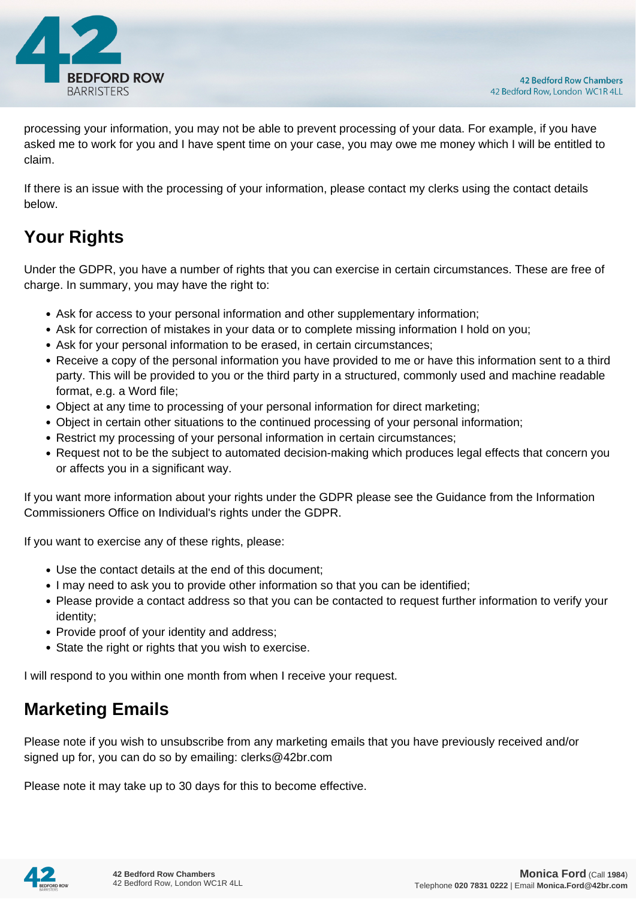

processing your information, you may not be able to prevent processing of your data. For example, if you have asked me to work for you and I have spent time on your case, you may owe me money which I will be entitled to claim.

If there is an issue with the processing of your information, please contact my clerks using the contact details below.

# **Your Rights**

Under the GDPR, you have a number of rights that you can exercise in certain circumstances. These are free of charge. In summary, you may have the right to:

- Ask for access to your personal information and other supplementary information;
- Ask for correction of mistakes in your data or to complete missing information I hold on you;
- Ask for your personal information to be erased, in certain circumstances;
- Receive a copy of the personal information you have provided to me or have this information sent to a third party. This will be provided to you or the third party in a structured, commonly used and machine readable format, e.g. a Word file;
- Object at any time to processing of your personal information for direct marketing;
- Object in certain other situations to the continued processing of your personal information;
- Restrict my processing of your personal information in certain circumstances;
- Request not to be the subject to automated decision-making which produces legal effects that concern you or affects you in a significant way.

If you want more information about your rights under the GDPR please see the Guidance from the Information Commissioners Office on Individual's rights under the GDPR.

If you want to exercise any of these rights, please:

- Use the contact details at the end of this document;
- I may need to ask you to provide other information so that you can be identified;
- Please provide a contact address so that you can be contacted to request further information to verify your identity;
- Provide proof of your identity and address;
- State the right or rights that you wish to exercise.

I will respond to you within one month from when I receive your request.

### **Marketing Emails**

Please note if you wish to unsubscribe from any marketing emails that you have previously received and/or signed up for, you can do so by emailing: clerks@42br.com

Please note it may take up to 30 days for this to become effective.